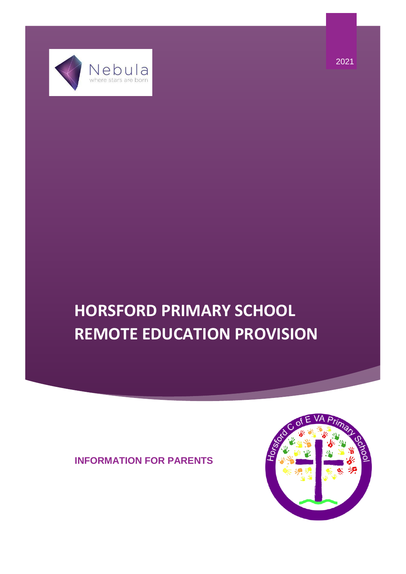$Nebu la$ 

# **HORSFORD PRIMARY SCHOOL REMOTE EDUCATION PROVISION**

# **INFORMATION FOR PARENTS**

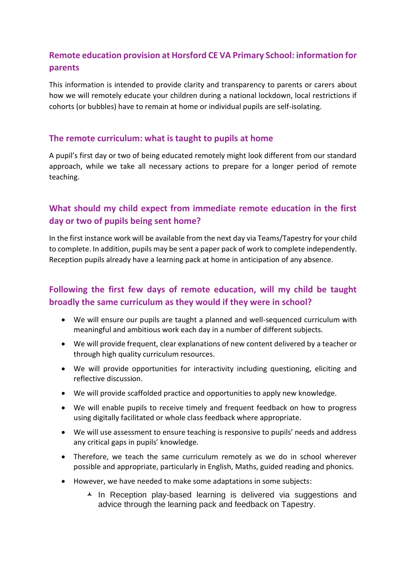# **Remote education provision at Horsford CE VA Primary School: information for parents**

This information is intended to provide clarity and transparency to parents or carers about how we will remotely educate your children during a national lockdown, local restrictions if cohorts (or bubbles) have to remain at home or individual pupils are self-isolating.

#### **The remote curriculum: what is taught to pupils at home**

A pupil's first day or two of being educated remotely might look different from our standard approach, while we take all necessary actions to prepare for a longer period of remote teaching.

# **What should my child expect from immediate remote education in the first day or two of pupils being sent home?**

In the first instance work will be available from the next day via Teams/Tapestry for your child to complete. In addition, pupils may be sent a paper pack of work to complete independently. Reception pupils already have a learning pack at home in anticipation of any absence.

# **Following the first few days of remote education, will my child be taught broadly the same curriculum as they would if they were in school?**

- We will ensure our pupils are taught a planned and well-sequenced curriculum with meaningful and ambitious work each day in a number of different subjects.
- We will provide frequent, clear explanations of new content delivered by a teacher or through high quality curriculum resources.
- We will provide opportunities for interactivity including questioning, eliciting and reflective discussion.
- We will provide scaffolded practice and opportunities to apply new knowledge.
- We will enable pupils to receive timely and frequent feedback on how to progress using digitally facilitated or whole class feedback where appropriate.
- We will use assessment to ensure teaching is responsive to pupils' needs and address any critical gaps in pupils' knowledge.
- Therefore, we teach the same curriculum remotely as we do in school wherever possible and appropriate, particularly in English, Maths, guided reading and phonics.
- However, we have needed to make some adaptations in some subjects:
	- $\overline{\phantom{a}}$  In Reception play-based learning is delivered via suggestions and advice through the learning pack and feedback on Tapestry.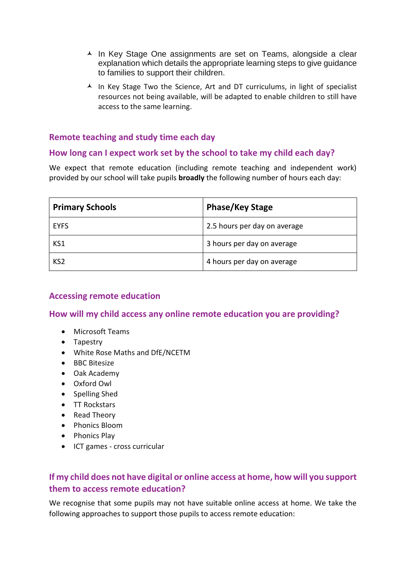- A In Key Stage One assignments are set on Teams, alongside a clear explanation which details the appropriate learning steps to give guidance to families to support their children.
- $\triangle$  In Key Stage Two the Science. Art and DT curriculums, in light of specialist resources not being available, will be adapted to enable children to still have access to the same learning.

## **Remote teaching and study time each day**

#### **How long can I expect work set by the school to take my child each day?**

We expect that remote education (including remote teaching and independent work) provided by our school will take pupils **broadly** the following number of hours each day:

| <b>Primary Schools</b> | <b>Phase/Key Stage</b>       |
|------------------------|------------------------------|
| <b>EYFS</b>            | 2.5 hours per day on average |
| KS1                    | 3 hours per day on average   |
| KS <sub>2</sub>        | 4 hours per day on average   |

#### **Accessing remote education**

**How will my child access any online remote education you are providing?**

- Microsoft Teams
- Tapestry
- White Rose Maths and DfE/NCETM
- BBC Bitesize
- Oak Academy
- Oxford Owl
- Spelling Shed
- TT Rockstars
- Read Theory
- Phonics Bloom
- Phonics Play
- ICT games cross curricular

## **If my child does not have digital or online access at home, how will you support them to access remote education?**

We recognise that some pupils may not have suitable online access at home. We take the following approaches to support those pupils to access remote education: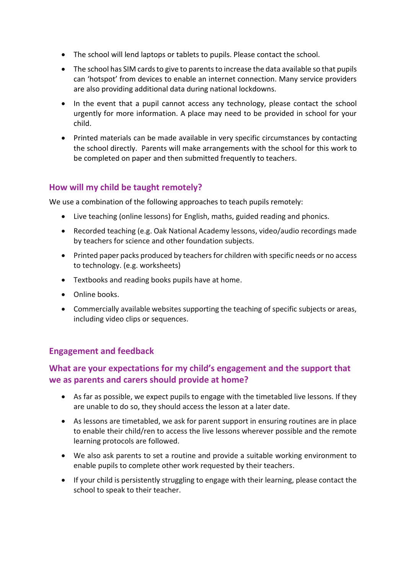- The school will lend laptops or tablets to pupils. Please contact the school.
- The school has SIM cards to give to parents to increase the data available so that pupils can 'hotspot' from devices to enable an internet connection. Many service providers are also providing additional data during national lockdowns.
- In the event that a pupil cannot access any technology, please contact the school urgently for more information. A place may need to be provided in school for your child.
- Printed materials can be made available in very specific circumstances by contacting the school directly. Parents will make arrangements with the school for this work to be completed on paper and then submitted frequently to teachers.

## **How will my child be taught remotely?**

We use a combination of the following approaches to teach pupils remotely:

- Live teaching (online lessons) for English, maths, guided reading and phonics.
- Recorded teaching (e.g. Oak National Academy lessons, video/audio recordings made by teachers for science and other foundation subjects.
- Printed paper packs produced by teachers for children with specific needs or no access to technology. (e.g. worksheets)
- Textbooks and reading books pupils have at home.
- Online books.
- Commercially available websites supporting the teaching of specific subjects or areas, including video clips or sequences.

#### **Engagement and feedback**

## **What are your expectations for my child's engagement and the support that we as parents and carers should provide at home?**

- As far as possible, we expect pupils to engage with the timetabled live lessons. If they are unable to do so, they should access the lesson at a later date.
- As lessons are timetabled, we ask for parent support in ensuring routines are in place to enable their child/ren to access the live lessons wherever possible and the remote learning protocols are followed.
- We also ask parents to set a routine and provide a suitable working environment to enable pupils to complete other work requested by their teachers.
- If your child is persistently struggling to engage with their learning, please contact the school to speak to their teacher.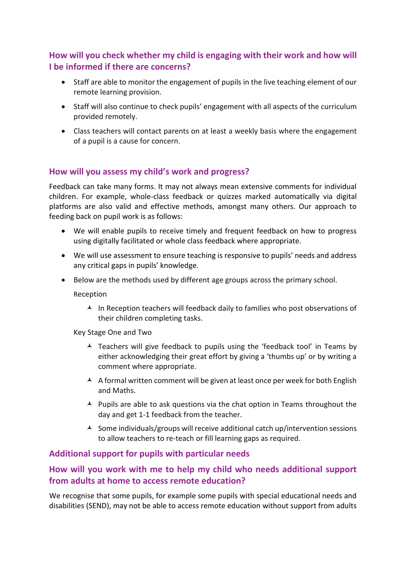# **How will you check whether my child is engaging with their work and how will I be informed if there are concerns?**

- Staff are able to monitor the engagement of pupils in the live teaching element of our remote learning provision.
- Staff will also continue to check pupils' engagement with all aspects of the curriculum provided remotely.
- Class teachers will contact parents on at least a weekly basis where the engagement of a pupil is a cause for concern.

### **How will you assess my child's work and progress?**

Feedback can take many forms. It may not always mean extensive comments for individual children. For example, whole-class feedback or quizzes marked automatically via digital platforms are also valid and effective methods, amongst many others. Our approach to feeding back on pupil work is as follows:

- We will enable pupils to receive timely and frequent feedback on how to progress using digitally facilitated or whole class feedback where appropriate.
- We will use assessment to ensure teaching is responsive to pupils' needs and address any critical gaps in pupils' knowledge.
- Below are the methods used by different age groups across the primary school.

Reception

 $\blacktriangle$  In Reception teachers will feedback daily to families who post observations of their children completing tasks.

Key Stage One and Two

- $\blacktriangle$  Teachers will give feedback to pupils using the 'feedback tool' in Teams by either acknowledging their great effort by giving a 'thumbs up' or by writing a comment where appropriate.
- A A formal written comment will be given at least once per week for both English and Maths.
- $\blacktriangle$  Pupils are able to ask questions via the chat option in Teams throughout the day and get 1-1 feedback from the teacher.
- $\triangle$  Some individuals/groups will receive additional catch up/intervention sessions to allow teachers to re-teach or fill learning gaps as required.

#### **Additional support for pupils with particular needs**

## **How will you work with me to help my child who needs additional support from adults at home to access remote education?**

We recognise that some pupils, for example some pupils with special educational needs and disabilities (SEND), may not be able to access remote education without support from adults